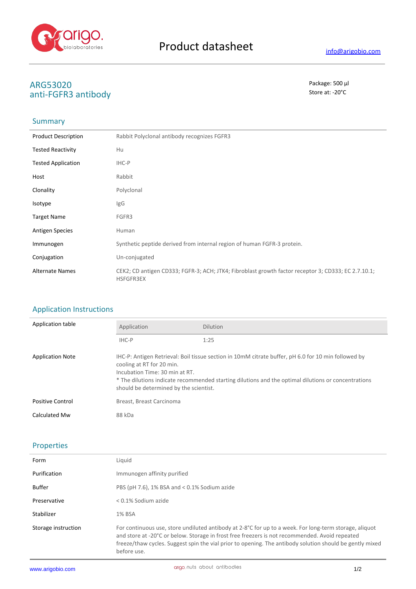

# **ARG53020** Package: 500 μl anti-FGFR3 antibody

### Summary

| <b>Product Description</b> | Rabbit Polyclonal antibody recognizes FGFR3                                                                      |
|----------------------------|------------------------------------------------------------------------------------------------------------------|
| <b>Tested Reactivity</b>   | Hu                                                                                                               |
| <b>Tested Application</b>  | IHC-P                                                                                                            |
| Host                       | Rabbit                                                                                                           |
| Clonality                  | Polyclonal                                                                                                       |
| <b>Isotype</b>             | IgG                                                                                                              |
| <b>Target Name</b>         | FGFR3                                                                                                            |
| <b>Antigen Species</b>     | Human                                                                                                            |
| Immunogen                  | Synthetic peptide derived from internal region of human FGFR-3 protein.                                          |
| Conjugation                | Un-conjugated                                                                                                    |
| <b>Alternate Names</b>     | CEK2; CD antigen CD333; FGFR-3; ACH; JTK4; Fibroblast growth factor receptor 3; CD333; EC 2.7.10.1;<br>HSFGFR3EX |

# Application Instructions

| Application table       | Application                                                                                                                                                                                                                                                                                                         | <b>Dilution</b> |
|-------------------------|---------------------------------------------------------------------------------------------------------------------------------------------------------------------------------------------------------------------------------------------------------------------------------------------------------------------|-----------------|
|                         | IHC-P                                                                                                                                                                                                                                                                                                               | 1:25            |
| <b>Application Note</b> | IHC-P: Antigen Retrieval: Boil tissue section in 10mM citrate buffer, pH 6.0 for 10 min followed by<br>cooling at RT for 20 min.<br>Incubation Time: 30 min at RT.<br>* The dilutions indicate recommended starting dilutions and the optimal dilutions or concentrations<br>should be determined by the scientist. |                 |
| <b>Positive Control</b> | Breast, Breast Carcinoma                                                                                                                                                                                                                                                                                            |                 |
| Calculated Mw           | 88 kDa                                                                                                                                                                                                                                                                                                              |                 |

# Properties

| Form                | Liauid                                                                                                                                                                                                                                                                                                                              |
|---------------------|-------------------------------------------------------------------------------------------------------------------------------------------------------------------------------------------------------------------------------------------------------------------------------------------------------------------------------------|
| Purification        | Immunogen affinity purified                                                                                                                                                                                                                                                                                                         |
| Buffer              | PBS (pH 7.6), 1% BSA and < 0.1% Sodium azide                                                                                                                                                                                                                                                                                        |
| Preservative        | < 0.1% Sodium azide                                                                                                                                                                                                                                                                                                                 |
| Stabilizer          | 1% BSA                                                                                                                                                                                                                                                                                                                              |
| Storage instruction | For continuous use, store undiluted antibody at 2-8°C for up to a week. For long-term storage, aliquot<br>and store at -20°C or below. Storage in frost free freezers is not recommended. Avoid repeated<br>freeze/thaw cycles. Suggest spin the vial prior to opening. The antibody solution should be gently mixed<br>before use. |